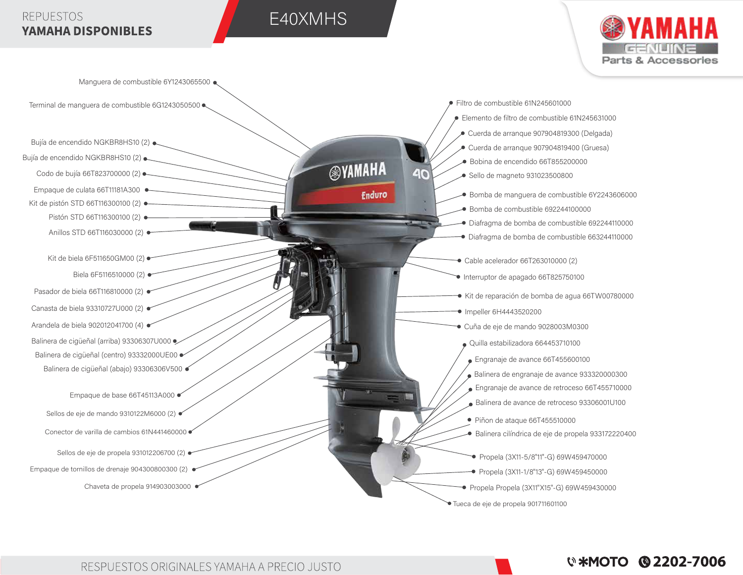## **REPUESTOS YAMAHA DISPONIBLES**

# E40XMHS



**W\*MOTO @2202-7006**